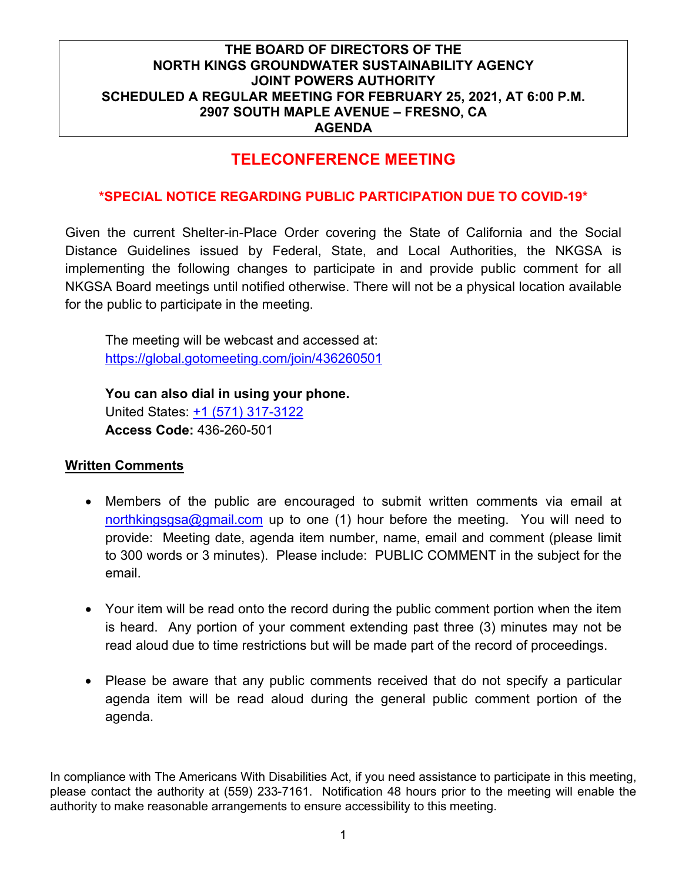## **TELECONFERENCE MEETING**

### **\*SPECIAL NOTICE REGARDING PUBLIC PARTICIPATION DUE TO COVID-19\***

Given the current Shelter-in-Place Order covering the State of California and the Social Distance Guidelines issued by Federal, State, and Local Authorities, the NKGSA is implementing the following changes to participate in and provide public comment for all NKGSA Board meetings until notified otherwise. There will not be a physical location available for the public to participate in the meeting.

The meeting will be webcast and accessed at: <https://global.gotomeeting.com/join/436260501>

**You can also dial in using your phone.** United States: [+1 \(571\) 317-3122](tel:+15713173122,,436260501) **Access Code:** 436-260-501

#### **Written Comments**

- Members of the public are encouraged to submit written comments via email at [northkingsgsa@gmail.com](mailto:northkingsgsa@gmail.com) up to one (1) hour before the meeting. You will need to provide: Meeting date, agenda item number, name, email and comment (please limit to 300 words or 3 minutes). Please include: PUBLIC COMMENT in the subject for the email.
- Your item will be read onto the record during the public comment portion when the item is heard. Any portion of your comment extending past three (3) minutes may not be read aloud due to time restrictions but will be made part of the record of proceedings.
- Please be aware that any public comments received that do not specify a particular agenda item will be read aloud during the general public comment portion of the agenda.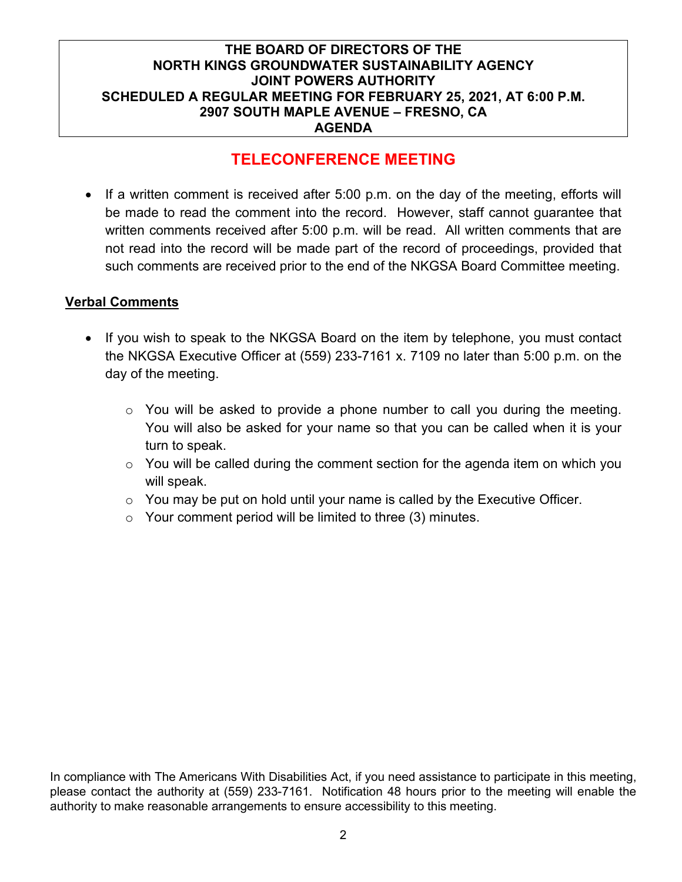## **TELECONFERENCE MEETING**

• If a written comment is received after 5:00 p.m. on the day of the meeting, efforts will be made to read the comment into the record. However, staff cannot guarantee that written comments received after 5:00 p.m. will be read. All written comments that are not read into the record will be made part of the record of proceedings, provided that such comments are received prior to the end of the NKGSA Board Committee meeting.

### **Verbal Comments**

- If you wish to speak to the NKGSA Board on the item by telephone, you must contact the NKGSA Executive Officer at (559) 233-7161 x. 7109 no later than 5:00 p.m. on the day of the meeting.
	- o You will be asked to provide a phone number to call you during the meeting. You will also be asked for your name so that you can be called when it is your turn to speak.
	- $\circ$  You will be called during the comment section for the agenda item on which you will speak.
	- $\circ$  You may be put on hold until your name is called by the Executive Officer.
	- o Your comment period will be limited to three (3) minutes.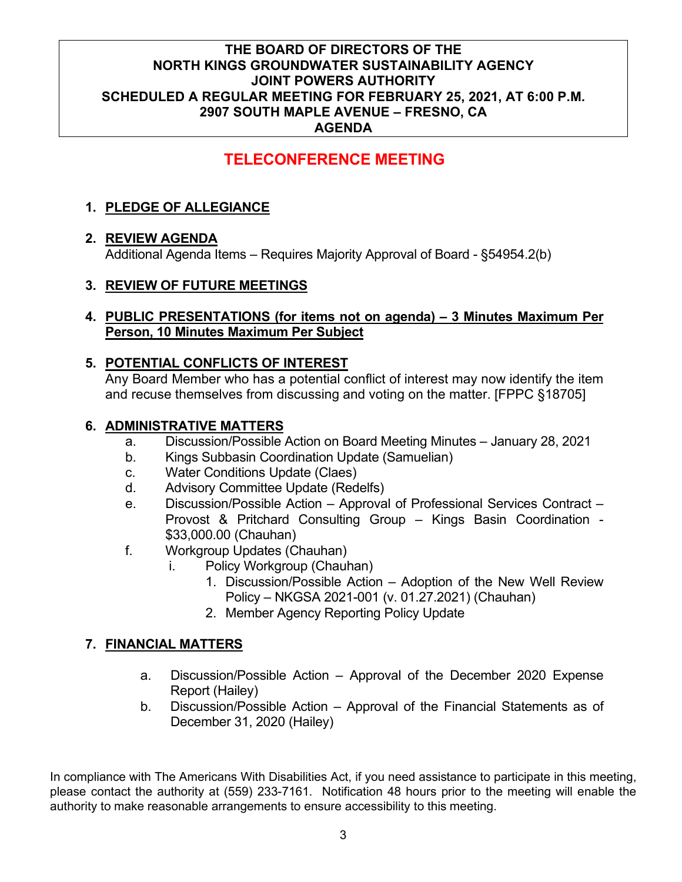## **TELECONFERENCE MEETING**

## **1. PLEDGE OF ALLEGIANCE**

### **2. REVIEW AGENDA**

Additional Agenda Items – Requires Majority Approval of Board - §54954.2(b)

### **3. REVIEW OF FUTURE MEETINGS**

#### **4. PUBLIC PRESENTATIONS (for items not on agenda) – 3 Minutes Maximum Per Person, 10 Minutes Maximum Per Subject**

### **5. POTENTIAL CONFLICTS OF INTEREST**

Any Board Member who has a potential conflict of interest may now identify the item and recuse themselves from discussing and voting on the matter. [FPPC §18705]

### **6. ADMINISTRATIVE MATTERS**

- a. Discussion/Possible Action on Board Meeting Minutes January 28, 2021
- b. Kings Subbasin Coordination Update (Samuelian)
- c. Water Conditions Update (Claes)
- d. Advisory Committee Update (Redelfs)
- e. Discussion/Possible Action Approval of Professional Services Contract Provost & Pritchard Consulting Group – Kings Basin Coordination - \$33,000.00 (Chauhan)
- f. Workgroup Updates (Chauhan)
	- i. Policy Workgroup (Chauhan)
		- 1. Discussion/Possible Action Adoption of the New Well Review Policy – NKGSA 2021-001 (v. 01.27.2021) (Chauhan)
		- 2. Member Agency Reporting Policy Update

### **7. FINANCIAL MATTERS**

- a. Discussion/Possible Action Approval of the December 2020 Expense Report (Hailey)
- b. Discussion/Possible Action Approval of the Financial Statements as of December 31, 2020 (Hailey)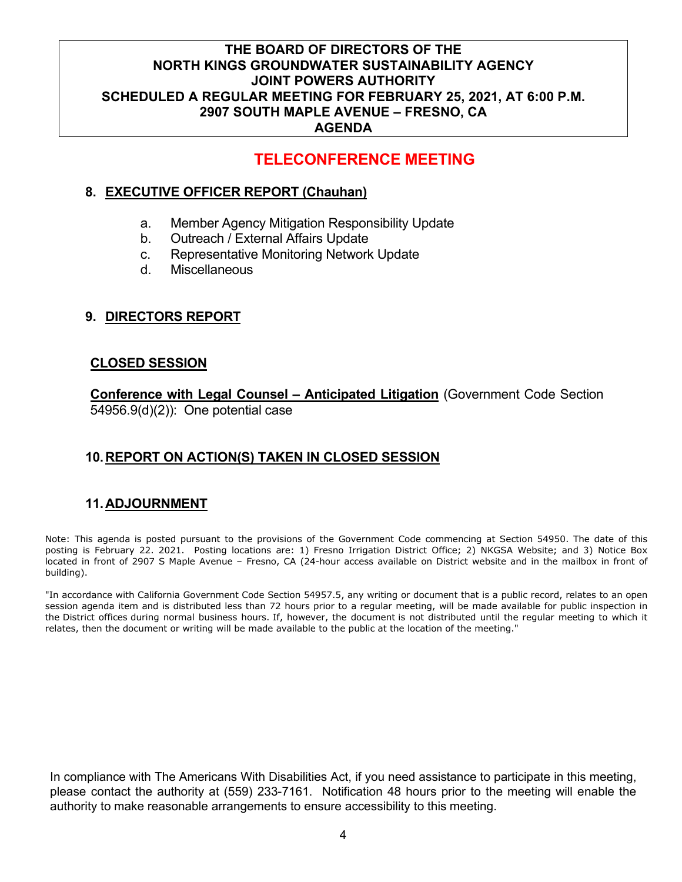## **TELECONFERENCE MEETING**

## **8. EXECUTIVE OFFICER REPORT (Chauhan)**

- a. Member Agency Mitigation Responsibility Update
- b. Outreach / External Affairs Update
- c. Representative Monitoring Network Update
- d. Miscellaneous

## **9. DIRECTORS REPORT**

### **CLOSED SESSION**

**Conference with Legal Counsel – Anticipated Litigation** (Government Code Section 54956.9(d)(2)): One potential case

## **10.REPORT ON ACTION(S) TAKEN IN CLOSED SESSION**

## **11.ADJOURNMENT**

Note: This agenda is posted pursuant to the provisions of the Government Code commencing at Section 54950. The date of this posting is February 22. 2021. Posting locations are: 1) Fresno Irrigation District Office; 2) NKGSA Website; and 3) Notice Box located in front of 2907 S Maple Avenue – Fresno, CA (24-hour access available on District website and in the mailbox in front of building).

"In accordance with California Government Code Section 54957.5, any writing or document that is a public record, relates to an open session agenda item and is distributed less than 72 hours prior to a regular meeting, will be made available for public inspection in the District offices during normal business hours. If, however, the document is not distributed until the regular meeting to which it relates, then the document or writing will be made available to the public at the location of the meeting."